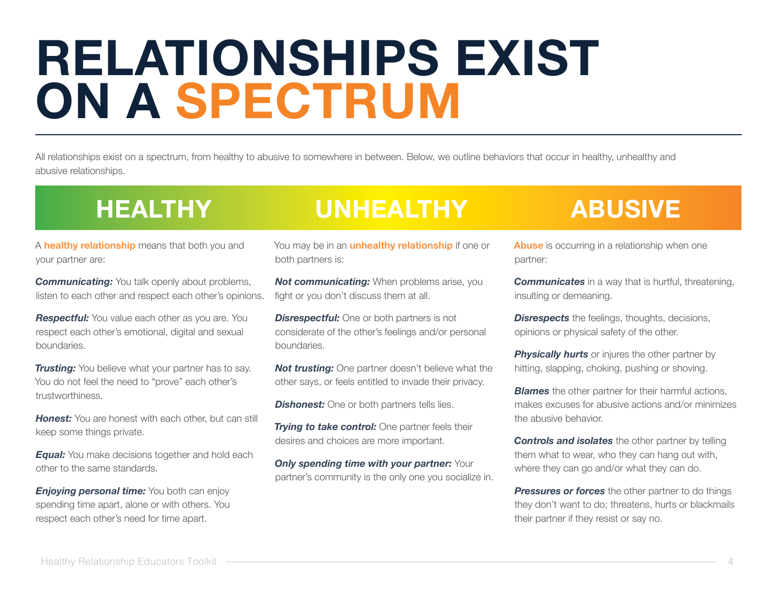# **RELATIONSHIPS EXIST ON A SPECTRUM**

All relationships exist on a spectrum, from healthy to abusive to somewhere in between. Below, we outline behaviors that occur in healthy, unhealthy and abusive relationships.

### **HEALTHY UNHEALTHY ABUSIVE**

A **healthy relationship** means that both you and your partner are:

*Communicating:* You talk openly about problems, listen to each other and respect each other's opinions.

**Respectful:** You value each other as you are. You respect each other's emotional, digital and sexual boundaries.

*Trusting:* You believe what your partner has to say. You do not feel the need to "prove" each other's trustworthiness.

*Honest:* You are honest with each other, but can still keep some things private.

*Equal:* You make decisions together and hold each other to the same standards.

*Enjoying personal time:* You both can enjoy spending time apart, alone or with others. You respect each other's need for time apart.

You may be in an **unhealthy relationship** if one or both partners is:

**Not communicating:** When problems arise, you fight or you don't discuss them at all.

**Disrespectful:** One or both partners is not considerate of the other's feelings and/or personal boundaries.

**Not trusting:** One partner doesn't believe what the other says, or feels entitled to invade their privacy.

**Dishonest:** One or both partners tells lies.

*Trying to take control: One partner feels their* desires and choices are more important.

*Only spending time with your partner: Your* partner's community is the only one you socialize in.

**Abuse** is occurring in a relationship when one partner:

*Communicates* in a way that is hurtful, threatening, insulting or demeaning.

**Disrespects** the feelings, thoughts, decisions, opinions or physical safety of the other.

**Physically hurts** or injures the other partner by hitting, slapping, choking, pushing or shoving.

*Blames* the other partner for their harmful actions, makes excuses for abusive actions and/or minimizes the abusive behavior.

**Controls and isolates** the other partner by telling them what to wear, who they can hang out with, where they can go and/or what they can do.

**Pressures or forces** the other partner to do things they don't want to do; threatens, hurts or blackmails their partner if they resist or say no.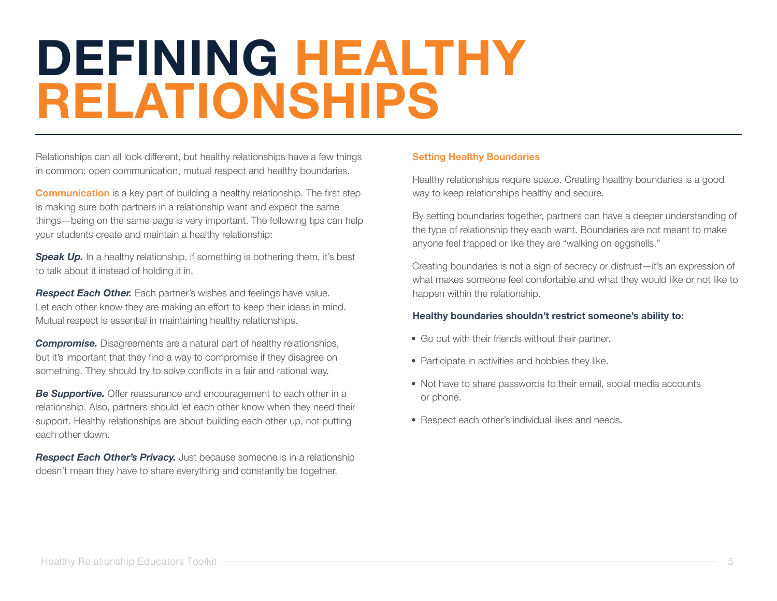### **DEFINING HEALTHY RELATIONSHIPS**

Relationships can all look different, but healthy relationships have a few things in common: open communication, mutual respect and healthy boundaries.

**Communication** is a key part of building a healthy relationship. The first step is making sure both partners in a relationship want and expect the same things—being on the same page is very important. The following tips can help your students create and maintain a healthy relationship:

**Speak Up.** In a healthy relationship, if something is bothering them, it's best to talk about it instead of holding it in.

**Respect Each Other.** Each partner's wishes and feelings have value. Let each other know they are making an effort to keep their ideas in mind. Mutual respect is essential in maintaining healthy relationships.

**Compromise.** Disagreements are a natural part of healthy relationships, but it's important that they find a way to compromise if they disagree on something. They should try to solve conflicts in a fair and rational way.

**Be Supportive.** Offer reassurance and encouragement to each other in a relationship. Also, partners should let each other know when they need their support. Healthy relationships are about building each other up, not putting each other down.

**Respect Each Other's Privacy.** Just because someone is in a relationship doesn't mean they have to share everything and constantly be together.

#### **Setting Healthy Boundaries**

Healthy relationships require space. Creating healthy boundaries is a good way to keep relationships healthy and secure.

By setting boundaries together, partners can have a deeper understanding of the type of relationship they each want. Boundaries are not meant to make anyone feel trapped or like they are "walking on eggshells."

Creating boundaries is not a sign of secrecy or distrust—it's an expression of what makes someone feel comfortable and what they would like or not like to happen within the relationship.

#### **Healthy boundaries shouldn't restrict someone's ability to:**

- Go out with their friends without their partner.
- Participate in activities and hobbies they like.
- Not have to share passwords to their email, social media accounts or phone.
- Respect each other's individual likes and needs.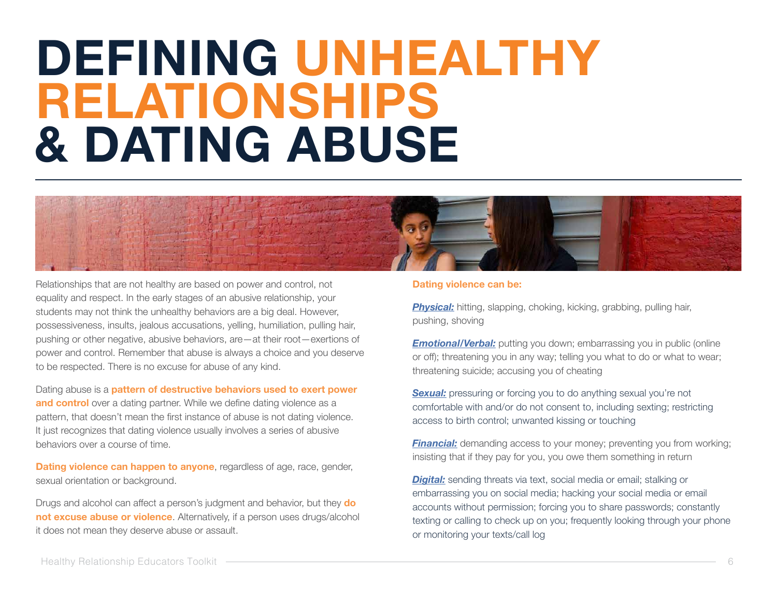### **DEFINING UNHEALTHY RELATIONSHIPS & DATING ABUSE**



Relationships that are not healthy are based on power and control, not equality and respect. In the early stages of an abusive relationship, your students may not think the unhealthy behaviors are a big deal. However, possessiveness, insults, jealous accusations, yelling, humiliation, pulling hair, pushing or other negative, abusive behaviors, are—at their root—exertions of power and control. Remember that abuse is always a choice and you deserve to be respected. There is no excuse for abuse of any kind.

Dating abuse is a **pattern of destructive behaviors used to exert power and control** over a dating partner. While we define dating violence as a pattern, that doesn't mean the first instance of abuse is not dating violence. It just recognizes that dating violence usually involves a series of abusive behaviors over a course of time.

**Dating violence can happen to anyone**, regardless of age, race, gender, sexual orientation or background.

Drugs and alcohol can affect a person's judgment and behavior, but they **do not excuse abuse or violence**. Alternatively, if a person uses drugs/alcohol it does not mean they deserve abuse or assault.

#### **Dating violence can be:**

**Physical:** hitting, slapping, choking, kicking, grabbing, pulling hair, pushing, shoving

*Emotional/Verbal:* putting you down; embarrassing you in public (online or off); threatening you in any way; telling you what to do or what to wear; threatening suicide; accusing you of cheating

**Sexual:** pressuring or forcing you to do anything sexual you're not comfortable with and/or do not consent to, including sexting; restricting access to birth control; unwanted kissing or touching

**Financial:** demanding access to your money; preventing you from working; insisting that if they pay for you, you owe them something in return

*Digital:* sending threats via text, social media or email; stalking or embarrassing you on social media; hacking your social media or email accounts without permission; forcing you to share passwords; constantly texting or calling to check up on you; frequently looking through your phone or monitoring your texts/call log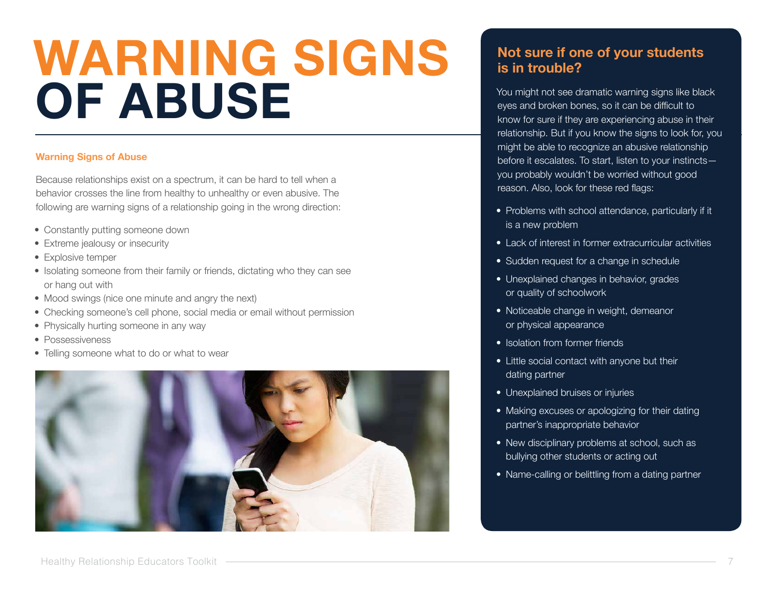# **WARNING SIGNS OF ABUSE**

#### **Warning Signs of Abuse**

Because relationships exist on a spectrum, it can be hard to tell when a behavior crosses the line from healthy to unhealthy or even abusive. The following are warning signs of a relationship going in the wrong direction:

- Constantly putting someone down
- Extreme jealousy or insecurity
- Explosive temper
- Isolating someone from their family or friends, dictating who they can see or hang out with
- Mood swings (nice one minute and angry the next)
- Checking someone's cell phone, social media or email without permission
- Physically hurting someone in any way
- Possessiveness
- Telling someone what to do or what to wear



### **Not sure if one of your students is in trouble?**

You might not see dramatic warning signs like black eyes and broken bones, so it can be difficult to know for sure if they are experiencing abuse in their relationship. But if you know the signs to look for, you might be able to recognize an abusive relationship before it escalates. To start, listen to your instincts you probably wouldn't be worried without good reason. Also, look for these red flags:

- Problems with school attendance, particularly if it is a new problem
- Lack of interest in former extracurricular activities
- Sudden request for a change in schedule
- Unexplained changes in behavior, grades or quality of schoolwork
- Noticeable change in weight, demeanor or physical appearance
- Isolation from former friends
- Little social contact with anyone but their dating partner
- Unexplained bruises or injuries
- Making excuses or apologizing for their dating partner's inappropriate behavior
- New disciplinary problems at school, such as bullying other students or acting out
- Name-calling or belittling from a dating partner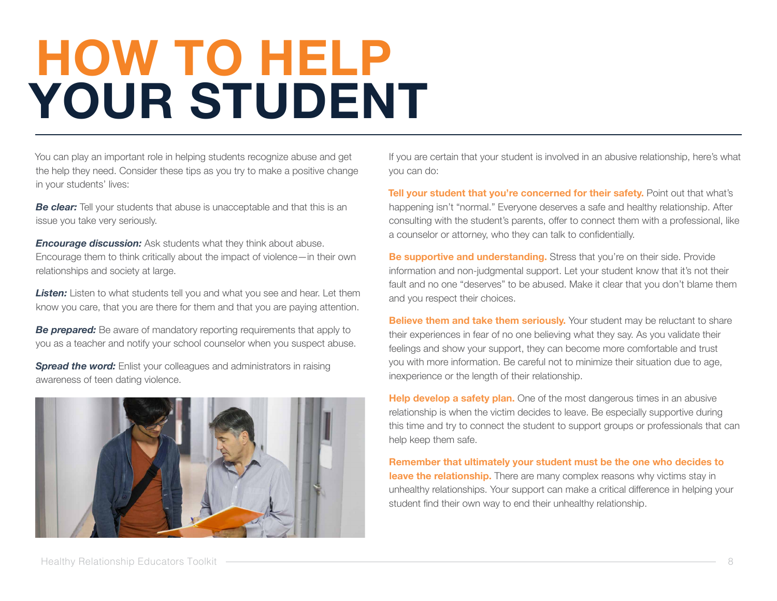# **HOW TO HELP YOUR STUDENT**

You can play an important role in helping students recognize abuse and get the help they need. Consider these tips as you try to make a positive change in your students' lives:

*Be clear:* Tell your students that abuse is unacceptable and that this is an issue you take very seriously.

*Encourage discussion:* Ask students what they think about abuse. Encourage them to think critically about the impact of violence—in their own relationships and society at large.

**Listen:** Listen to what students tell you and what you see and hear. Let them know you care, that you are there for them and that you are paying attention.

**Be prepared:** Be aware of mandatory reporting requirements that apply to you as a teacher and notify your school counselor when you suspect abuse.

**Spread the word:** Enlist your colleagues and administrators in raising awareness of teen dating violence.



If you are certain that your student is involved in an abusive relationship, here's what you can do:

**Tell your student that you're concerned for their safety.** Point out that what's happening isn't "normal." Everyone deserves a safe and healthy relationship. After consulting with the student's parents, offer to connect them with a professional, like a counselor or attorney, who they can talk to confidentially.

**Be supportive and understanding.** Stress that you're on their side. Provide information and non-judgmental support. Let your student know that it's not their fault and no one "deserves" to be abused. Make it clear that you don't blame them and you respect their choices.

**Believe them and take them seriously.** Your student may be reluctant to share their experiences in fear of no one believing what they say. As you validate their feelings and show your support, they can become more comfortable and trust you with more information. Be careful not to minimize their situation due to age, inexperience or the length of their relationship.

**Help develop a safety plan.** One of the most dangerous times in an abusive relationship is when the victim decides to leave. Be especially supportive during this time and try to connect the student to support groups or professionals that can help keep them safe.

**Remember that ultimately your student must be the one who decides to leave the relationship.** There are many complex reasons why victims stay in unhealthy relationships. Your support can make a critical difference in helping your student find their own way to end their unhealthy relationship.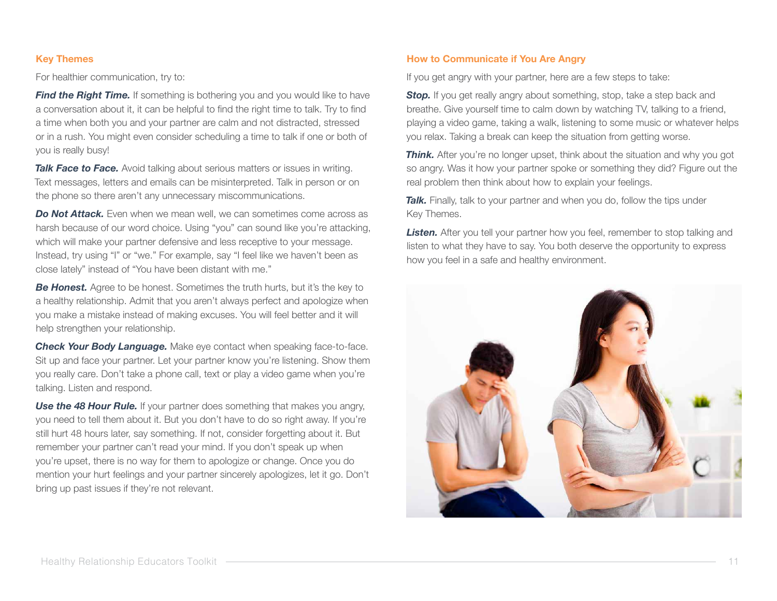#### **Key Themes**

For healthier communication, try to:

*Find the Right Time.* If something is bothering you and you would like to have a conversation about it, it can be helpful to find the right time to talk. Try to find a time when both you and your partner are calm and not distracted, stressed or in a rush. You might even consider scheduling a time to talk if one or both of you is really busy!

**Talk Face to Face.** Avoid talking about serious matters or issues in writing. Text messages, letters and emails can be misinterpreted. Talk in person or on the phone so there aren't any unnecessary miscommunications.

*Do Not Attack.* Even when we mean well, we can sometimes come across as harsh because of our word choice. Using "you" can sound like you're attacking, which will make your partner defensive and less receptive to your message. Instead, try using "I" or "we." For example, say "I feel like we haven't been as close lately" instead of "You have been distant with me."

**Be Honest.** Agree to be honest. Sometimes the truth hurts, but it's the key to a healthy relationship. Admit that you aren't always perfect and apologize when you make a mistake instead of making excuses. You will feel better and it will help strengthen your relationship.

*Check Your Body Language.* Make eye contact when speaking face-to-face. Sit up and face your partner. Let your partner know you're listening. Show them you really care. Don't take a phone call, text or play a video game when you're talking. Listen and respond.

**Use the 48 Hour Rule.** If your partner does something that makes you angry, you need to tell them about it. But you don't have to do so right away. If you're still hurt 48 hours later, say something. If not, consider forgetting about it. But remember your partner can't read your mind. If you don't speak up when you're upset, there is no way for them to apologize or change. Once you do mention your hurt feelings and your partner sincerely apologizes, let it go. Don't bring up past issues if they're not relevant.

#### **How to Communicate if You Are Angry**

If you get angry with your partner, here are a few steps to take:

**Stop.** If you get really angry about something, stop, take a step back and breathe. Give yourself time to calm down by watching TV, talking to a friend, playing a video game, taking a walk, listening to some music or whatever helps you relax. Taking a break can keep the situation from getting worse.

**Think.** After you're no longer upset, think about the situation and why you got so angry. Was it how your partner spoke or something they did? Figure out the real problem then think about how to explain your feelings.

**Talk.** Finally, talk to your partner and when you do, follow the tips under Key Themes.

**Listen.** After you tell your partner how you feel, remember to stop talking and listen to what they have to say. You both deserve the opportunity to express how you feel in a safe and healthy environment.